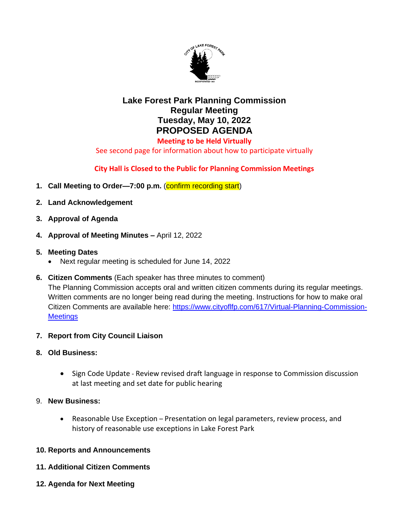

# **Lake Forest Park Planning Commission Regular Meeting Tuesday, May 10, 2022 PROPOSED AGENDA**

**Meeting to be Held Virtually**

See second page for information about how to participate virtually

### **City Hall is Closed to the Public for Planning Commission Meetings**

- **1. Call Meeting to Order—7:00 p.m.** (confirm recording start)
- **2. Land Acknowledgement**
- **3. Approval of Agenda**
- **4. Approval of Meeting Minutes –** April 12, 2022
- **5. Meeting Dates**
	- Next regular meeting is scheduled for June 14, 2022
- **6. Citizen Comments** (Each speaker has three minutes to comment) The Planning Commission accepts oral and written citizen comments during its regular meetings. Written comments are no longer being read during the meeting. Instructions for how to make oral Citizen Comments are available here: [https://www.cityoflfp.com/617/Virtual-Planning-Commission-](https://www.cityoflfp.com/617/Virtual-Planning-Commission-Meetings)
- 

**7. Report from City Council Liaison**

- 
- **8. Old Business:**

**[Meetings](https://www.cityoflfp.com/617/Virtual-Planning-Commission-Meetings)** 

- Sign Code Update Review revised draft language in response to Commission discussion at last meeting and set date for public hearing
- 9. **New Business:** 
	- Reasonable Use Exception Presentation on legal parameters, review process, and history of reasonable use exceptions in Lake Forest Park

#### **10. Reports and Announcements**

- **11. Additional Citizen Comments**
- **12. Agenda for Next Meeting**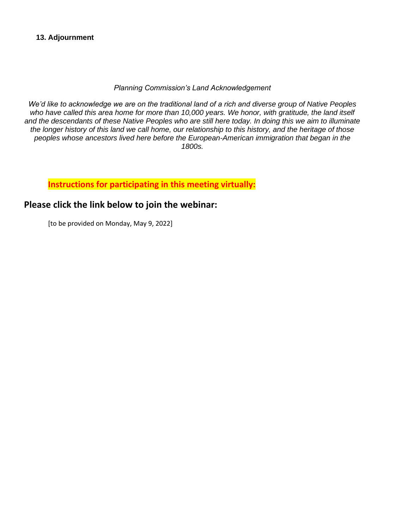#### *Planning Commission's Land Acknowledgement*

*We'd like to acknowledge we are on the traditional land of a rich and diverse group of Native Peoples who have called this area home for more than 10,000 years. We honor, with gratitude, the land itself and the descendants of these Native Peoples who are still here today. In doing this we aim to illuminate the longer history of this land we call home, our relationship to this history, and the heritage of those peoples whose ancestors lived here before the European-American immigration that began in the 1800s.*

**Instructions for participating in this meeting virtually:**

# **Please click the link below to join the webinar:**

[to be provided on Monday, May 9, 2022]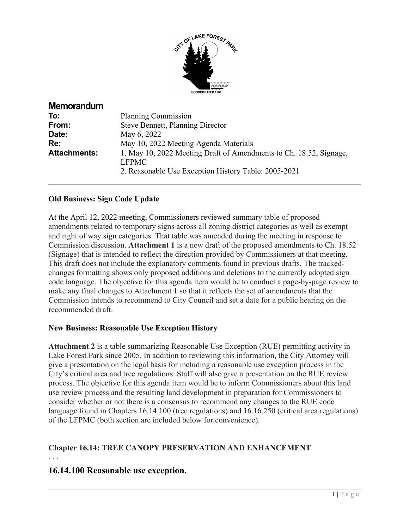

| <b>Memorandum</b>   |                                                                    |
|---------------------|--------------------------------------------------------------------|
| To:                 | <b>Planning Commission</b>                                         |
| From:               | <b>Steve Bennett, Planning Director</b>                            |
| Date:               | May 6, 2022                                                        |
| Re:                 | May 10, 2022 Meeting Agenda Materials                              |
| <b>Attachments:</b> | 1. May 10, 2022 Meeting Draft of Amendments to Ch. 18.52, Signage, |
|                     | <b>LFPMC</b>                                                       |
|                     | 2. Reasonable Use Exception History Table: 2005-2021               |
|                     |                                                                    |

### **Old Business: Sign Code Update**

At the April 12, 2022 meeting, Commissioners reviewed summary table of proposed amendments related to temporary signs across all zoning district categories as well as exempt and right of way sign categories. That table was amended during the meeting in response to Commission discussion. **Attachment 1** is a new draft of the proposed amendments to Ch. 18.52 (Signage) that is intended to reflect the direction provided by Commissioners at that meeting. This draft does not include the explanatory comments found in previous drafts. The trackedchanges formatting shows only proposed additions and deletions to the currently adopted sign code language. The objective for this agenda item would be to conduct a page-by-page review to make any final changes to Attachment 1 so that it reflects the set of amendments that the Commission intends to recommend to City Council and set a date for a public hearing on the recommended draft.

### **New Business: Reasonable Use Exception History**

**Attachment 2** is a table summarizing Reasonable Use Exception (RUE) permitting activity in Lake Forest Park since 2005. In addition to reviewing this information, the City Attorney will give a presentation on the legal basis for including a reasonable use exception process in the City's critical area and tree regulations. Staff will also give a presentation on the RUE review process. The objective for this agenda item would be to inform Commissioners about this land use review process and the resulting land development in preparation for Commissioners to consider whether or not there is a consensus to recommend any changes to the RUE code language found in Chapters 16.14.100 (tree regulations) and 16.16.250 (critical area regulations) of the LFPMC (both section are included below for convenience).

## **Chapter 16.14: TREE CANOPY PRESERVATION AND ENHANCEMENT**

. . .

## **16.14.100 Reasonable use exception.**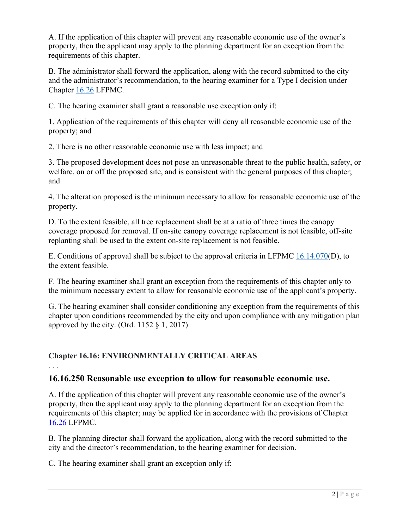A. If the application of this chapter will prevent any reasonable economic use of the owner's property, then the applicant may apply to the planning department for an exception from the requirements of this chapter.

B. The administrator shall forward the application, along with the record submitted to the city and the administrator's recommendation, to the hearing examiner for a Type I decision under Chapter 16.26 LFPMC.

C. The hearing examiner shall grant a reasonable use exception only if:

1. Application of the requirements of this chapter will deny all reasonable economic use of the property; and

2. There is no other reasonable economic use with less impact; and

3. The proposed development does not pose an unreasonable threat to the public health, safety, or welfare, on or off the proposed site, and is consistent with the general purposes of this chapter; and

4. The alteration proposed is the minimum necessary to allow for reasonable economic use of the property.

D. To the extent feasible, all tree replacement shall be at a ratio of three times the canopy coverage proposed for removal. If on-site canopy coverage replacement is not feasible, off-site replanting shall be used to the extent on-site replacement is not feasible.

E. Conditions of approval shall be subject to the approval criteria in LFPMC 16.14.070(D), to the extent feasible.

F. The hearing examiner shall grant an exception from the requirements of this chapter only to the minimum necessary extent to allow for reasonable economic use of the applicant's property.

G. The hearing examiner shall consider conditioning any exception from the requirements of this chapter upon conditions recommended by the city and upon compliance with any mitigation plan approved by the city. (Ord.  $1152 \t{,} 1, 2017$ )

# **Chapter 16.16: ENVIRONMENTALLY CRITICAL AREAS**

. . .

# **16.16.250 Reasonable use exception to allow for reasonable economic use.**

A. If the application of this chapter will prevent any reasonable economic use of the owner's property, then the applicant may apply to the planning department for an exception from the requirements of this chapter; may be applied for in accordance with the provisions of Chapter 16.26 LFPMC.

B. The planning director shall forward the application, along with the record submitted to the city and the director's recommendation, to the hearing examiner for decision.

C. The hearing examiner shall grant an exception only if: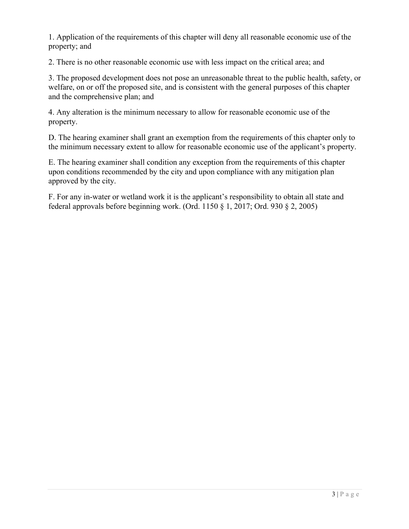1. Application of the requirements of this chapter will deny all reasonable economic use of the property; and

2. There is no other reasonable economic use with less impact on the critical area; and

3. The proposed development does not pose an unreasonable threat to the public health, safety, or welfare, on or off the proposed site, and is consistent with the general purposes of this chapter and the comprehensive plan; and

4. Any alteration is the minimum necessary to allow for reasonable economic use of the property.

D. The hearing examiner shall grant an exemption from the requirements of this chapter only to the minimum necessary extent to allow for reasonable economic use of the applicant's property.

E. The hearing examiner shall condition any exception from the requirements of this chapter upon conditions recommended by the city and upon compliance with any mitigation plan approved by the city.

F. For any in-water or wetland work it is the applicant's responsibility to obtain all state and federal approvals before beginning work. (Ord. 1150 § 1, 2017; Ord. 930 § 2, 2005)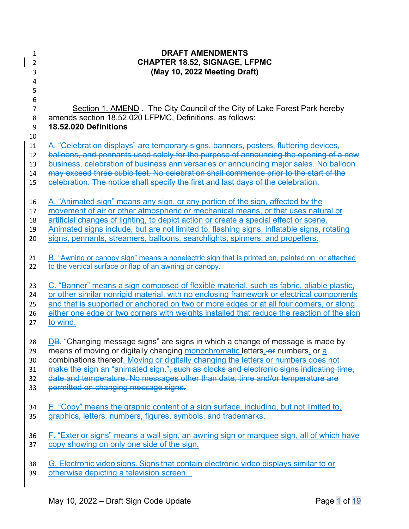| $\mathbf{1}$<br>$\overline{2}$<br>3 | <b>DRAFT AMENDMENTS</b><br><b>CHAPTER 18.52, SIGNAGE, LFPMC</b><br>(May 10, 2022 Meeting Draft)                                                                                     |
|-------------------------------------|-------------------------------------------------------------------------------------------------------------------------------------------------------------------------------------|
| 4<br>5                              |                                                                                                                                                                                     |
| 6<br>$\overline{7}$                 | Section 1. AMEND . The City Council of the City of Lake Forest Park hereby                                                                                                          |
| 8                                   | amends section 18.52.020 LFPMC, Definitions, as follows:                                                                                                                            |
| 9<br>10                             | 18.52.020 Definitions                                                                                                                                                               |
| 11                                  | A. "Celebration displays" are temporary signs, banners, posters, fluttering devices,                                                                                                |
| 12<br>13                            | balloons, and pennants used solely for the purpose of announcing the opening of a new<br>business, celebration of business anniversaries or announcing major sales. No balloon      |
| 14<br>15                            | may exceed three cubic feet. No celebration shall commence prior to the start of the<br>celebration. The notice shall specify the first and last days of the celebration.           |
|                                     |                                                                                                                                                                                     |
| 16<br>17                            | A. "Animated sign" means any sign, or any portion of the sign, affected by the<br>movement of air or other atmospheric or mechanical means, or that uses natural or                 |
| 18                                  | artificial changes of lighting, to depict action or create a special effect or scene.                                                                                               |
| 19<br>20                            | Animated signs include, but are not limited to, flashing signs, inflatable signs, rotating<br>signs, pennants, streamers, balloons, searchlights, spinners, and propellers.         |
|                                     |                                                                                                                                                                                     |
| 21<br>22                            | B. "Awning or canopy sign" means a nonelectric sign that is printed on, painted on, or attached<br>to the vertical surface or flap of an awning or canopy.                          |
| 23                                  | C. "Banner" means a sign composed of flexible material, such as fabric, pliable plastic,                                                                                            |
| 24<br>25                            | or other similar nonrigid material, with no enclosing framework or electrical components<br>and that is supported or anchored on two or more edges or at all four corners, or along |
| 26                                  | either one edge or two corners with weights installed that reduce the reaction of the sign                                                                                          |
| 27                                  | to wind.                                                                                                                                                                            |
| 28                                  | DB. "Changing message signs" are signs in which a change of message is made by                                                                                                      |
| 29<br>30                            | means of moving or digitally changing monochromatic letters, or numbers, or a<br>combinations thereof. Moving or digitally changing the letters or numbers does not                 |
| 31                                  | make the sign an "animated sign.", such as clocks and electronic signs indicating time,                                                                                             |
| 32                                  | date and temperature. No messages other than date, time and/or temperature are                                                                                                      |
| 33                                  | permitted on changing message signs.                                                                                                                                                |
| 34                                  | E. "Copy" means the graphic content of a sign surface, including, but not limited to,                                                                                               |
| 35                                  | graphics, letters, numbers, figures, symbols, and trademarks.                                                                                                                       |
| 36                                  | F. "Exterior signs" means a wall sign, an awning sign or marquee sign, all of which have                                                                                            |
| 37                                  | copy showing on only one side of the sign.                                                                                                                                          |
| 38<br>39                            | G. Electronic video signs. Signs that contain electronic video displays similar to or<br>otherwise depicting a television screen.                                                   |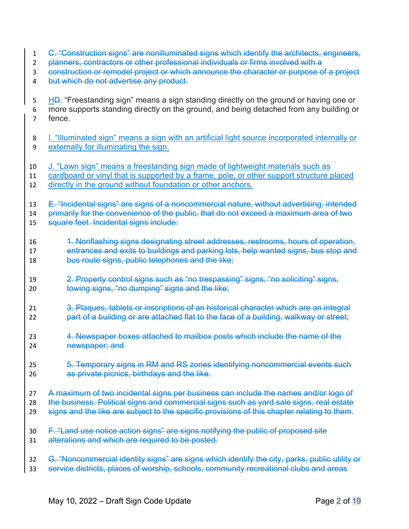- C. "Construction signs" are nonilluminated signs which identify the architects, engineers,
- 2 planners, contractors or other professional individuals or firms involved with a
- construction or remodel project or which announce the character or purpose of a project
- 4 but which do not advertise any product.
- 5 HD. "Freestanding sign" means a sign standing directly on the ground or having one or more supports standing directly on the ground, and being detached from any building or fence.
- I. "Illuminated sign" means a sign with an artificial light source incorporated internally or externally for illuminating the sign.
- J. "Lawn sign" means a freestanding sign made of lightweight materials such as
- cardboard or vinyl that is supported by a frame, pole, or other support structure placed
- directly in the ground without foundation or other anchors.
- 13 E. "Incidental signs" are signs of a noncommercial nature, without advertising, intended
- 14 primarily for the convenience of the public, that do not exceed a maximum area of two
- square feet. Incidental signs include:
- 1. Nonflashing signs designating street addresses, restrooms, hours of operation, entrances and exits to buildings and parking lots, help wanted signs, bus stop and bus route signs, public telephones and the like;
- 2. Property control signs such as "no trespassing" signs, "no soliciting" signs, towing signs, "no dumping" signs and the like;
- 3. Plaques, tablets or inscriptions of an historical character which are an integral 22 part of a building or are attached flat to the face of a building, walkway or street;
- 4. Newspaper boxes attached to mailbox posts which include the name of the newspaper; and
- 5. Temporary signs in RM and RS zones identifying noncommercial events such as private picnics, birthdays and the like.
- A maximum of two incidental signs per business can include the names and/or logo of
- 28 the business. Political signs and commercial signs such as vard sale signs, real estate
- 29 signs and the like are subject to the specific provisions of this chapter relating to them.
- F. "Land use notice action signs" are signs notifying the public of proposed site
- alterations and which are required to be posted.
- 32 G. "Noncommercial identity signs" are signs which identify the city, parks, public utility or
- service districts, places of worship, schools, community recreational clubs and areas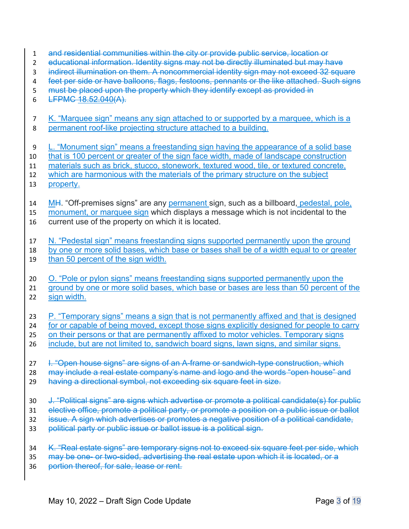- and residential communities within the city or provide public service, location or
- 2 educational information. Identity signs may not be directly illuminated but may have
- indirect illumination on them. A noncommercial identity sign may not exceed 32 square
- 4 feet per side or have balloons, flags, festoons, pennants or the like attached. Such signs
- must be placed upon the property which they identify except as provided in
- LFPMC 18.52.040(A).

 K. "Marquee sign" means any sign attached to or supported by a marquee, which is a permanent roof-like projecting structure attached to a building.

- L. "Monument sign" means a freestanding sign having the appearance of a solid base
- that is 100 percent or greater of the sign face width, made of landscape construction
- materials such as brick, stucco, stonework, textured wood, tile, or textured concrete,
- which are harmonious with the materials of the primary structure on the subject
- property.
- 14 MH. "Off-premises signs" are any permanent sign, such as a billboard, pedestal, pole,
- 15 monument, or marquee sign which displays a message which is not incidental to the
- current use of the property on which it is located.
- N. "Pedestal sign" means freestanding signs supported permanently upon the ground
- by one or more solid bases, which base or bases shall be of a width equal to or greater 19 than 50 percent of the sign width.
- O. "Pole or pylon signs" means freestanding signs supported permanently upon the

 ground by one or more solid bases, which base or bases are less than 50 percent of the sign width.

- 
- P. "Temporary signs" means a sign that is not permanently affixed and that is designed
- for or capable of being moved, except those signs explicitly designed for people to carry
- on their persons or that are permanently affixed to motor vehicles. Temporary signs
- include, but are not limited to, sandwich board signs, lawn signs, and similar signs.
- 27 I. "Open house signs" are signs of an A-frame or sandwich-type construction, which
- may include a real estate company's name and logo and the words "open house" and
- having a directional symbol, not exceeding six square feet in size.
- J. "Political signs" are signs which advertise or promote a political candidate(s) for public
- elective office, promote a political party, or promote a position on a public issue or ballot
- issue. A sign which advertises or promotes a negative position of a political candidate,
- political party or public issue or ballot issue is a political sign.
- 34 K. "Real estate signs" are temporary signs not to exceed six square feet per side, which
- may be one- or two-sided, advertising the real estate upon which it is located, or a
- portion thereof, for sale, lease or rent.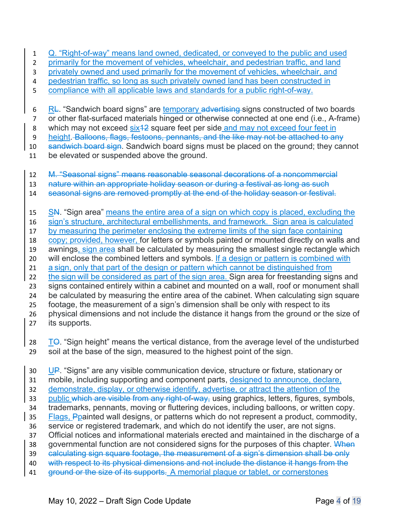Q. "Right-of-way" means land owned, dedicated, or conveyed to the public and used

2 primarily for the movement of vehicles, wheelchair, and pedestrian traffic, and land

privately owned and used primarily for the movement of vehicles, wheelchair, and

pedestrian traffic, so long as such privately owned land has been constructed in

compliance with all applicable laws and standards for a public right-of-way.

6 RL. "Sandwich board signs" are temporary advertising signs constructed of two boards

or other flat-surfaced materials hinged or otherwise connected at one end (i.e., A-frame)

8 which may not exceed six<sup>12</sup> square feet per side and may not exceed four feet in

height. Balloons, flags, festoons, pennants, and the like may not be attached to any

10 sandwich board sign. Sandwich board signs must be placed on the ground; they cannot

be elevated or suspended above the ground.

M. "Seasonal signs" means reasonable seasonal decorations of a noncommercial

nature within an appropriate holiday season or during a festival as long as such

seasonal signs are removed promptly at the end of the holiday season or festival.

15 SA. "Sign area" means the entire area of a sign on which copy is placed, excluding the

sign's structure, architectural embellishments, and framework. Sign area is calculated

by measuring the perimeter enclosing the extreme limits of the sign face containing

copy; provided, however, for letters or symbols painted or mounted directly on walls and

19 awnings, sign area shall be calculated by measuring the smallest single rectangle which

20 will enclose the combined letters and symbols. If a design or pattern is combined with

a sign, only that part of the design or pattern which cannot be distinguished from

22 the sign will be considered as part of the sign area. Sign area for freestanding signs and

signs contained entirely within a cabinet and mounted on a wall, roof or monument shall

be calculated by measuring the entire area of the cabinet. When calculating sign square

 footage, the measurement of a sign's dimension shall be only with respect to its physical dimensions and not include the distance it hangs from the ground or the size of

its supports.

28 TO. "Sign height" means the vertical distance, from the average level of the undisturbed soil at the base of the sign, measured to the highest point of the sign.

30 UP. "Signs" are any visible communication device, structure or fixture, stationary or

mobile, including supporting and component parts, designed to announce, declare,

demonstrate, display, or otherwise identify, advertise, or attract the attention of the

33 public which are visible from any right-of-way, using graphics, letters, figures, symbols,

trademarks, pennants, moving or fluttering devices, including balloons, or written copy.

35 Flags, Ppainted wall designs, or patterns which do not represent a product, commodity,

service or registered trademark, and which do not identify the user, are not signs.

Official notices and informational materials erected and maintained in the discharge of a

38 governmental function are not considered signs for the purposes of this chapter. When

calculating sign square footage, the measurement of a sign's dimension shall be only

with respect to its physical dimensions and not include the distance it hangs from the

ground or the size of its supports.  A memorial plaque or tablet, or cornerstones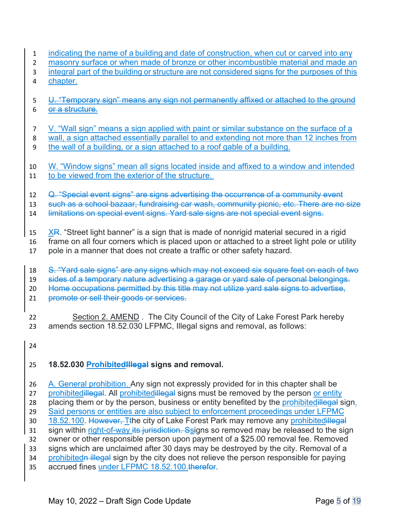- indicating the name of a building and date of construction, when cut or carved into any
- masonry surface or when made of bronze or other incombustible material and made an
- integral part of the building or structure are not considered signs for the purposes of this
- chapter.
- U. "Temporary sign" means any sign not permanently affixed or attached to the ground
- or a structure.
- V. "Wall sign" means a sign applied with paint or similar substance on the surface of a
- wall, a sign attached essentially parallel to and extending not more than 12 inches from
- the wall of a building, or a sign attached to a roof gable of a building.
- W. "Window signs" mean all signs located inside and affixed to a window and intended to be viewed from the exterior of the structure.
- 12 Q. "Special event signs" are signs advertising the occurrence of a community event
- such as a school bazaar, fundraising car wash, community picnic, etc. There are no size
- limitations on special event signs. Yard sale signs are not special event signs.
- 15  $X$ R. "Street light banner" is a sign that is made of nonrigid material secured in a rigid
- frame on all four corners which is placed upon or attached to a street light pole or utility pole in a manner that does not create a traffic or other safety hazard.
- S. "Yard sale signs" are any signs which may not exceed six square feet on each of two sides of a temporary nature advertising a garage or yard sale of personal belongings. Home occupations permitted by this title may not utilize yard sale signs to advertise,
- 21 promote or sell their goods or services.
- Section 2. AMEND . The City Council of the City of Lake Forest Park hereby amends section 18.52.030 LFPMC, Illegal signs and removal, as follows:
- 

# **18.52.030 ProhibitedIllegal signs and removal.**

- 26 A. General prohibition. Any sign not expressly provided for in this chapter shall be 27 prohibitedillegal. All prohibitedillegal signs must be removed by the person or entity 28 placing them or by the person, business or entity benefited by the prohibitedillegal sign. Said persons or entities are also subject to enforcement proceedings under LFPMC 30 18.52.100. However, Tthe city of Lake Forest Park may remove any prohibitedillegal 31 sign within right-of-way its jurisdiction. Ssigns so removed may be released to the sign owner or other responsible person upon payment of a \$25.00 removal fee. Removed signs which are unclaimed after 30 days may be destroyed by the city. Removal of a 34 prohibitedn illegal sign by the city does not relieve the person responsible for paying
- accrued fines under LFPMC 18.52.100.therefor.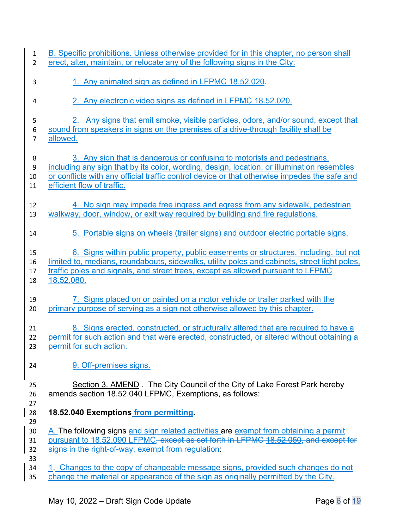| $\mathbf{1}$         | B. Specific prohibitions. Unless otherwise provided for in this chapter, no person shall                                                                                                                                           |
|----------------------|------------------------------------------------------------------------------------------------------------------------------------------------------------------------------------------------------------------------------------|
| $\overline{2}$       | erect, alter, maintain, or relocate any of the following signs in the City:                                                                                                                                                        |
| 3                    | 1. Any animated sign as defined in LFPMC 18.52.020.                                                                                                                                                                                |
| 4                    | 2. Any electronic video signs as defined in LFPMC 18.52.020.                                                                                                                                                                       |
| 5                    | 2. Any signs that emit smoke, visible particles, odors, and/or sound, except that                                                                                                                                                  |
| 6                    | sound from speakers in signs on the premises of a drive-through facility shall be                                                                                                                                                  |
| $\overline{7}$       | allowed.                                                                                                                                                                                                                           |
| 8                    | 3. Any sign that is dangerous or confusing to motorists and pedestrians,                                                                                                                                                           |
| 9                    | including any sign that by its color, wording, design, location, or illumination resembles                                                                                                                                         |
| 10                   | or conflicts with any official traffic control device or that otherwise impedes the safe and                                                                                                                                       |
| 11                   | efficient flow of traffic.                                                                                                                                                                                                         |
| 12                   | 4. No sign may impede free ingress and egress from any sidewalk, pedestrian                                                                                                                                                        |
| 13                   | walkway, door, window, or exit way required by building and fire regulations.                                                                                                                                                      |
| 14                   | 5. Portable signs on wheels (trailer signs) and outdoor electric portable signs.                                                                                                                                                   |
| 15                   | 6. Signs within public property, public easements or structures, including, but not                                                                                                                                                |
| 16                   | limited to, medians, roundabouts, sidewalks, utility poles and cabinets, street light poles,                                                                                                                                       |
| 17                   | traffic poles and signals, and street trees, except as allowed pursuant to LFPMC                                                                                                                                                   |
| 18                   | 18.52.080.                                                                                                                                                                                                                         |
| 19                   | 7. Signs placed on or painted on a motor vehicle or trailer parked with the                                                                                                                                                        |
| 20                   | primary purpose of serving as a sign not otherwise allowed by this chapter.                                                                                                                                                        |
| 21                   | 8. Signs erected, constructed, or structurally altered that are required to have a                                                                                                                                                 |
| 22                   | permit for such action and that were erected, constructed, or altered without obtaining a                                                                                                                                          |
| 23                   | permit for such action.                                                                                                                                                                                                            |
| 24                   | 9. Off-premises signs.                                                                                                                                                                                                             |
| 25<br>26<br>27       | Section 3. AMEND. The City Council of the City of Lake Forest Park hereby<br>amends section 18.52.040 LFPMC, Exemptions, as follows:                                                                                               |
| 28<br>29             | 18.52.040 Exemptions from permitting.                                                                                                                                                                                              |
| 30<br>31<br>32<br>33 | A. The following signs and sign related activities are exempt from obtaining a permit<br>pursuant to 18.52.090 LFPMC, except as set forth in LFPMC 18.52.050, and except for<br>signs in the right-of-way, exempt from regulation: |
| 34                   | 1. Changes to the copy of changeable message signs, provided such changes do not                                                                                                                                                   |
| 35                   | change the material or appearance of the sign as originally permitted by the City.                                                                                                                                                 |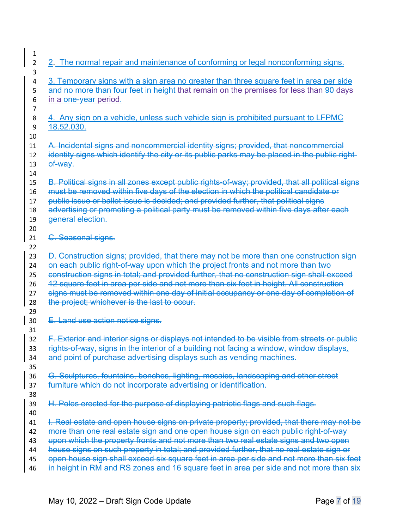| 1  |                                                                                                 |
|----|-------------------------------------------------------------------------------------------------|
| 2  | 2. The normal repair and maintenance of conforming or legal nonconforming signs.                |
| 3  |                                                                                                 |
| 4  | 3. Temporary signs with a sign area no greater than three square feet in area per side          |
| 5  | and no more than four feet in height that remain on the premises for less than 90 days          |
| 6  | in a one-year period.                                                                           |
| 7  |                                                                                                 |
| 8  | 4. Any sign on a vehicle, unless such vehicle sign is prohibited pursuant to LFPMC              |
| 9  | 18.52.030.                                                                                      |
| 10 |                                                                                                 |
| 11 | A. Incidental signs and noncommercial identity signs; provided, that noncommercial              |
| 12 | identity signs which identify the city or its public parks may be placed in the public right-   |
| 13 | of-way.                                                                                         |
| 14 |                                                                                                 |
| 15 | B. Political signs in all zones except public rights-of-way; provided, that all political signs |
| 16 | must be removed within five days of the election in which the political candidate or            |
| 17 | public issue or ballot issue is decided; and provided further, that political signs             |
| 18 | advertising or promoting a political party must be removed within five days after each          |
| 19 | general election.                                                                               |
| 20 |                                                                                                 |
| 21 | C. Seasonal signs.                                                                              |
| 22 |                                                                                                 |
| 23 | D. Construction signs; provided, that there may not be more than one construction sign          |
| 24 | on each public right-of-way upon which the project fronts and not more than two                 |
| 25 | construction signs in total; and provided further, that no construction sign shall exceed       |
| 26 | 12 square feet in area per side and not more than six feet in height. All construction          |
| 27 | signs must be removed within one day of initial occupancy or one day of completion of           |
| 28 | the project; whichever is the last to occur.                                                    |
| 29 |                                                                                                 |
| 30 | E. Land use action notice signs.                                                                |
| 31 |                                                                                                 |
| 32 | F. Exterior and interior signs or displays not intended to be visible from streets or public    |
| 33 | rights-of-way, signs in the interior of a building not facing a window, window displays         |
| 34 | and point of purchase advertising displays such as vending machines.                            |
| 35 |                                                                                                 |
| 36 | G. Sculptures, fountains, benches, lighting, mosaics, landscaping and other street              |
| 37 | furniture which do not incorporate advertising or identification.                               |
| 38 |                                                                                                 |
| 39 | H. Poles erected for the purpose of displaying patriotic flags and such flags.                  |
| 40 |                                                                                                 |
| 41 | I. Real estate and open house signs on private property; provided, that there may not be        |
| 42 | more than one real estate sign and one open house sign on each public right-of-way              |
| 43 | upon which the property fronts and not more than two real estate signs and two open             |
| 44 | house signs on such property in total; and provided further, that no real estate sign or        |
| 45 | open house sign shall exceed six square feet in area per side and not more than six feet        |
| 46 | in height in RM and RS zones and 16 square feet in area per side and not more than six          |
|    |                                                                                                 |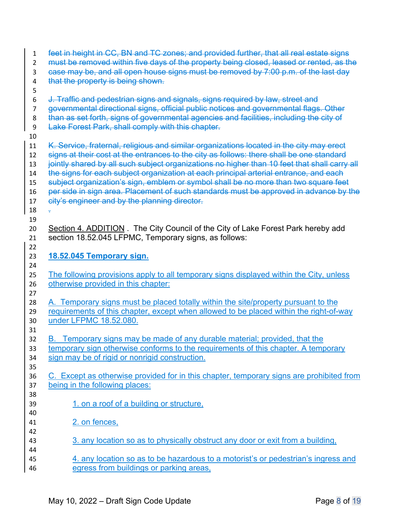| $\mathbf{1}$   | feet in height in CC, BN and TC zones; and provided further, that all real estate signs                                              |
|----------------|--------------------------------------------------------------------------------------------------------------------------------------|
| $\overline{2}$ | must be removed within five days of the property being closed, leased or rented, as the                                              |
| 3              | case may be, and all open house signs must be removed by 7:00 p.m. of the last day                                                   |
| 4              | that the property is being shown.                                                                                                    |
| 5              |                                                                                                                                      |
| 6              | J. Traffic and pedestrian signs and signals, signs required by law, street and                                                       |
| $\overline{7}$ | governmental directional signs, official public notices and governmental flags. Other                                                |
| 8              | than as set forth, signs of governmental agencies and facilities, including the city of                                              |
| 9              | Lake Forest Park, shall comply with this chapter.                                                                                    |
| 10             |                                                                                                                                      |
| 11             | K. Service, fraternal, religious and similar organizations located in the city may erect                                             |
| 12             | signs at their cost at the entrances to the city as follows: there shall be one standard                                             |
| 13             | jointly shared by all such subject organizations no higher than 10 feet that shall carry all                                         |
| 14             | the signs for each subject organization at each principal arterial entrance, and each                                                |
| 15             | subject organization's sign, emblem or symbol shall be no more than two square feet                                                  |
| 16             | per side in sign area. Placement of such standards must be approved in advance by the                                                |
| 17             | city's engineer and by the planning director.                                                                                        |
| 18             |                                                                                                                                      |
| 19             |                                                                                                                                      |
| 20             | Section 4. ADDITION . The City Council of the City of Lake Forest Park hereby add                                                    |
| 21             | section 18.52.045 LFPMC, Temporary signs, as follows:                                                                                |
| 22             |                                                                                                                                      |
| 23             | 18.52.045 Temporary sign.                                                                                                            |
| 24             |                                                                                                                                      |
| 25             | The following provisions apply to all temporary signs displayed within the City, unless                                              |
| 26             | otherwise provided in this chapter:                                                                                                  |
| 27             |                                                                                                                                      |
| 28             | A. Temporary signs must be placed totally within the site/property pursuant to the                                                   |
| 29             | requirements of this chapter, except when allowed to be placed within the right-of-way                                               |
| 30             | under LFPMC 18.52.080.                                                                                                               |
| 31             |                                                                                                                                      |
| 32             | B. Temporary signs may be made of any durable material; provided, that the                                                           |
| 33             | temporary sign otherwise conforms to the requirements of this chapter. A temporary<br>sign may be of rigid or nonrigid construction. |
| 34             |                                                                                                                                      |
| 35<br>36       | C. Except as otherwise provided for in this chapter, temporary signs are prohibited from                                             |
| 37             | being in the following places:                                                                                                       |
| 38             |                                                                                                                                      |
| 39             | 1. on a roof of a building or structure,                                                                                             |
| 40             |                                                                                                                                      |
| 41             | 2. on fences,                                                                                                                        |
| 42             |                                                                                                                                      |
| 43             | 3. any location so as to physically obstruct any door or exit from a building,                                                       |
| 44             |                                                                                                                                      |
| 45             | 4. any location so as to be hazardous to a motorist's or pedestrian's ingress and                                                    |
| 46             | egress from buildings or parking areas,                                                                                              |
|                |                                                                                                                                      |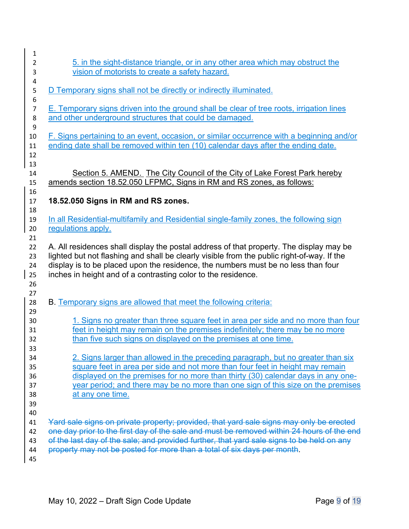| 1              |                                                                                                 |
|----------------|-------------------------------------------------------------------------------------------------|
| $\overline{2}$ | 5. in the sight-distance triangle, or in any other area which may obstruct the                  |
| 3              | vision of motorists to create a safety hazard.                                                  |
| 4              |                                                                                                 |
| 5<br>6         | D Temporary signs shall not be directly or indirectly illuminated.                              |
| $\overline{7}$ | E. Temporary signs driven into the ground shall be clear of tree roots, irrigation lines        |
| 8              | and other underground structures that could be damaged.                                         |
| 9              |                                                                                                 |
|                |                                                                                                 |
| 10             | <u>F. Signs pertaining to an event, occasion, or similar occurrence with a beginning and/or</u> |
| 11             | ending date shall be removed within ten (10) calendar days after the ending date.               |
| 12             |                                                                                                 |
| 13             |                                                                                                 |
| 14             | Section 5. AMEND. The City Council of the City of Lake Forest Park hereby                       |
| 15             | amends section 18.52.050 LFPMC, Signs in RM and RS zones, as follows:                           |
| 16             |                                                                                                 |
| 17             | 18.52.050 Signs in RM and RS zones.                                                             |
| 18             |                                                                                                 |
| 19             | In all Residential-multifamily and Residential single-family zones, the following sign          |
| 20             | regulations apply.                                                                              |
| 21             |                                                                                                 |
| 22             | A. All residences shall display the postal address of that property. The display may be         |
| 23             | lighted but not flashing and shall be clearly visible from the public right-of-way. If the      |
| 24             | display is to be placed upon the residence, the numbers must be no less than four               |
| 25             | inches in height and of a contrasting color to the residence.                                   |
|                |                                                                                                 |
| 26             |                                                                                                 |
| 27             |                                                                                                 |
| 28             | B. Temporary signs are allowed that meet the following criteria:                                |
| 29             |                                                                                                 |
| 30             | 1. Signs no greater than three square feet in area per side and no more than four               |
| 31             | feet in height may remain on the premises indefinitely; there may be no more                    |
| 32             | than five such signs on displayed on the premises at one time.                                  |
| 33             |                                                                                                 |
| 34             | 2. Signs larger than allowed in the preceding paragraph, but no greater than six                |
| 35             | square feet in area per side and not more than four feet in height may remain                   |
| 36             | displayed on the premises for no more than thirty (30) calendar days in any one-                |
| 37             | year period; and there may be no more than one sign of this size on the premises                |
| 38             | at any one time.                                                                                |
| 39             |                                                                                                 |
|                |                                                                                                 |
| 40             |                                                                                                 |
| 41             | Yard sale signs on private property; provided, that yard sale signs may only be erected         |
|                |                                                                                                 |
| 42             | one day prior to the first day of the sale and must be removed within 24 hours of the end       |
| 43             | of the last day of the sale; and provided further, that yard sale signs to be held on any       |
| 44<br>45       | property may not be posted for more than a total of six days per month.                         |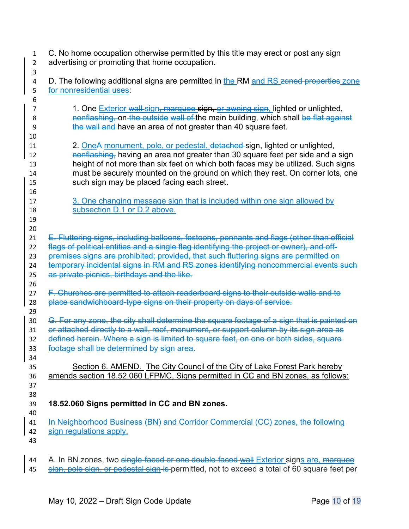C. No home occupation otherwise permitted by this title may erect or post any sign advertising or promoting that home occupation.

- 4 D. The following additional signs are permitted in the RM and RS zoned properties zone for nonresidential uses: 7 1. One Exterior wall-sign, marquee sign, or awning sign, lighted or unlighted, **nonflashing, on the outside wall of the main building, which shall be flat against** 9 the wall and have an area of not greater than 40 square feet. 11 2. OneA monument, pole, or pedestal, detached sign, lighted or unlighted, **nonflashing, having an area not greater than 30 square feet per side and a sign**  height of not more than six feet on which both faces may be utilized. Such signs must be securely mounted on the ground on which they rest. On corner lots, one such sign may be placed facing each street. 3. One changing message sign that is included within one sign allowed by 18 subsection D.1 or D.2 above. E. Fluttering signs, including balloons, festoons, pennants and flags (other than official 22 flags of political entities and a single flag identifying the project or owner), and off- premises signs are prohibited; provided, that such fluttering signs are permitted on 24 temporary incidental signs in RM and RS zones identifying noncommercial events such 25 as private picnics, birthdays and the like. 27 F. Churches are permitted to attach readerboard signs to their outside walls and to place sandwichboard-type signs on their property on days of service. G. For any zone, the city shall determine the square footage of a sign that is painted on 31 or attached directly to a wall, roof, monument, or support column by its sign area as defined herein. Where a sign is limited to square feet, on one or both sides, square footage shall be determined by sign area. Section 6. AMEND. The City Council of the City of Lake Forest Park hereby amends section 18.52.060 LFPMC, Signs permitted in CC and BN zones, as follows: **18.52.060 Signs permitted in CC and BN zones.**  In Neighborhood Business (BN) and Corridor Commercial (CC) zones, the following sign regulations apply. 44 A. In BN zones, two single-faced or one double-faced wall Exterior signs are, marquee
- 45 sign, pole sign, or pedestal sign is permitted, not to exceed a total of 60 square feet per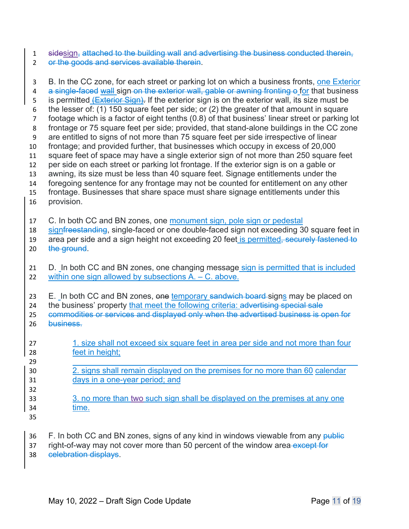sidesign, attached to the building wall and advertising the business conducted therein, or the goods and services available therein.

 B. In the CC zone, for each street or parking lot on which a business fronts, one Exterior 4 a single-faced wall sign on the exterior wall, gable or awning fronting o for that business 5 is permitted (Exterior Sign). If the exterior sign is on the exterior wall, its size must be the lesser of: (1) 150 square feet per side; or (2) the greater of that amount in square footage which is a factor of eight tenths (0.8) of that business' linear street or parking lot frontage or 75 square feet per side; provided, that stand-alone buildings in the CC zone are entitled to signs of not more than 75 square feet per side irrespective of linear frontage; and provided further, that businesses which occupy in excess of 20,000 square feet of space may have a single exterior sign of not more than 250 square feet per side on each street or parking lot frontage. If the exterior sign is on a gable or awning, its size must be less than 40 square feet. Signage entitlements under the foregoing sentence for any frontage may not be counted for entitlement on any other frontage. Businesses that share space must share signage entitlements under this provision. C. In both CC and BN zones, one monument sign, pole sign or pedestal 18 signfreestanding, single-faced or one double-faced sign not exceeding 30 square feet in 19 area per side and a sign height not exceeding 20 feet is permitted, securely fastened to 20 the ground. D. In both CC and BN zones, one changing message sign is permitted that is included within one sign allowed by subsections A. – C. above. 23 E. In both CC and BN zones, one temporary sandwich board signs may be placed on 24 the business' property that meet the following criteria: advertising special sale commodities or services and displayed only when the advertised business is open for business. 27 1. size shall not exceed six square feet in area per side and not more than four feet in height; 2. signs shall remain displayed on the premises for no more than 60 calendar days in a one-year period; and 3. no more than two such sign shall be displayed on the premises at any one time. 

36 F. In both CC and BN zones, signs of any kind in windows viewable from any public

37 right-of-way may not cover more than 50 percent of the window area-except for celebration displays.

May 10, 2022 – Draft Sign Code Update **Page 11 of 19** Page 11 of 19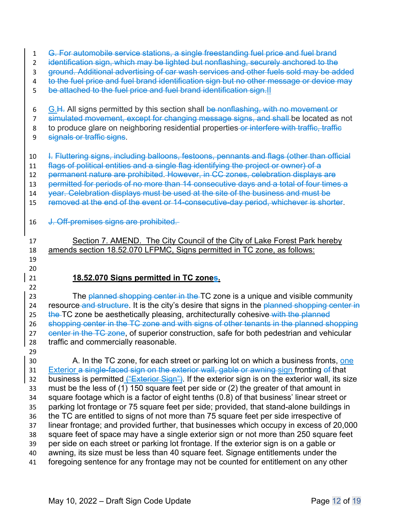| $\overline{2}$<br>3 | identification sign, which may be lighted but nonflashing, securely anchored to the<br>ground. Additional advertising of car wash services and other fuels sold may be added |
|---------------------|------------------------------------------------------------------------------------------------------------------------------------------------------------------------------|
| 4                   | to the fuel price and fuel brand identification sign but no other message or device may                                                                                      |
| 5                   | be attached to the fuel price and fuel brand identification sign. II                                                                                                         |
|                     |                                                                                                                                                                              |
| 6                   | G.H. All signs permitted by this section shall be nonflashing, with no movement or                                                                                           |
| 7                   | simulated movement, except for changing message signs, and shall be located as not                                                                                           |
| 8                   | to produce glare on neighboring residential properties or interfere with traffic, traffic                                                                                    |
| 9                   | signals or traffic signs.                                                                                                                                                    |
| 10                  | I. Fluttering signs, including balloons, festoons, pennants and flags (other than official                                                                                   |
| 11                  | flags of political entities and a single flag identifying the project or owner) of a                                                                                         |
| 12                  | permanent nature are prohibited. However, in CC zones, celebration displays are                                                                                              |
| 13                  | permitted for periods of no more than 14 consecutive days and a total of four times a                                                                                        |
| 14                  | year. Celebration displays must be used at the site of the business and must be                                                                                              |
| 15                  | removed at the end of the event or 14-consecutive-day period, whichever is shorter.                                                                                          |
|                     |                                                                                                                                                                              |
| 16                  | J. Off-premises signs are prohibited.                                                                                                                                        |
| 17                  | Section 7. AMEND. The City Council of the City of Lake Forest Park hereby                                                                                                    |
| 18                  | amends section 18.52.070 LFPMC, Signs permitted in TC zone, as follows:                                                                                                      |
| 19                  |                                                                                                                                                                              |
| 20                  |                                                                                                                                                                              |
| 21                  | 18.52.070 Signs permitted in TC zones.                                                                                                                                       |
| 22                  |                                                                                                                                                                              |
| 23                  | The planned shopping center in the TC zone is a unique and visible community                                                                                                 |
| 24                  | resource and structure. It is the city's desire that signs in the planned shopping center in                                                                                 |
| 25                  | the TC zone be aesthetically pleasing, architecturally cohesive with the planned                                                                                             |
| 26                  | shopping center in the TC zone and with signs of other tenants in the planned shopping                                                                                       |
| 27                  |                                                                                                                                                                              |
|                     | center in the TC zone, of superior construction, safe for both pedestrian and vehicular                                                                                      |
| 28                  | traffic and commercially reasonable.                                                                                                                                         |
| 29                  |                                                                                                                                                                              |
| 30                  | A. In the TC zone, for each street or parking lot on which a business fronts, one                                                                                            |
| 31                  | Exterior a single-faced sign on the exterior wall, gable or awning sign fronting of that                                                                                     |
| 32                  | business is permitted "Exterior Sign"). If the exterior sign is on the exterior wall, its size                                                                               |
| 33                  | must be the less of (1) 150 square feet per side or (2) the greater of that amount in                                                                                        |
| 34                  | square footage which is a factor of eight tenths (0.8) of that business' linear street or                                                                                    |
| 35                  | parking lot frontage or 75 square feet per side; provided, that stand-alone buildings in                                                                                     |
| 36                  | the TC are entitled to signs of not more than 75 square feet per side irrespective of                                                                                        |
| 37                  | linear frontage; and provided further, that businesses which occupy in excess of 20,000                                                                                      |
| 38                  | square feet of space may have a single exterior sign or not more than 250 square feet                                                                                        |
| 39<br>40            | per side on each street or parking lot frontage. If the exterior sign is on a gable or<br>awning, its size must be less than 40 square feet. Signage entitlements under the  |

1 G. For automobile service stations, a single freestanding fuel price and fuel brand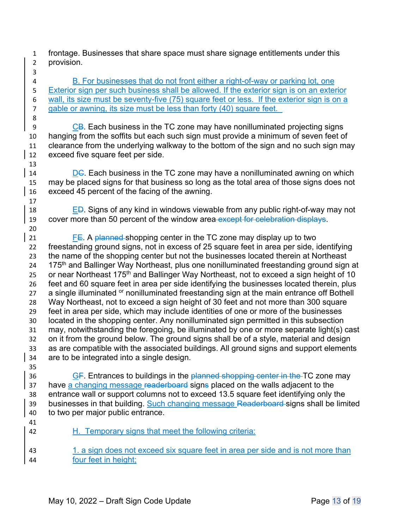frontage. Businesses that share space must share signage entitlements under this provision.

 B. For businesses that do not front either a right-of-way or parking lot, one Exterior sign per such business shall be allowed. If the exterior sign is on an exterior wall, its size must be seventy-five (75) square feet or less. If the exterior sign is on a gable or awning, its size must be less than forty (40) square feet. 

 CB. Each business in the TC zone may have nonilluminated projecting signs hanging from the soffits but each such sign must provide a minimum of seven feet of clearance from the underlying walkway to the bottom of the sign and no such sign may exceed five square feet per side.

 14 DC. Each business in the TC zone may have a nonilluminated awning on which may be placed signs for that business so long as the total area of those signs does not exceed 45 percent of the facing of the awning.

 ED. Signs of any kind in windows viewable from any public right-of-way may not 19 cover more than 50 percent of the window area except for celebration displays.

21 FE. A planned shopping center in the TC zone may display up to two freestanding ground signs, not in excess of 25 square feet in area per side, identifying the name of the shopping center but not the businesses located therein at Northeast 24 175<sup>th</sup> and Ballinger Way Northeast, plus one nonilluminated freestanding ground sign at 25 or near Northeast 175<sup>th</sup> and Ballinger Way Northeast, not to exceed a sign height of 10 feet and 60 square feet in area per side identifying the businesses located therein, plus 27 a single illuminated  $\sigma$  nonilluminated freestanding sign at the main entrance off Bothell Way Northeast, not to exceed a sign height of 30 feet and not more than 300 square feet in area per side, which may include identities of one or more of the businesses located in the shopping center. Any nonilluminated sign permitted in this subsection may, notwithstanding the foregoing, be illuminated by one or more separate light(s) cast on it from the ground below. The ground signs shall be of a style, material and design as are compatible with the associated buildings. All ground signs and support elements are to be integrated into a single design.

- 36 GF. Entrances to buildings in the planned shopping center in the TC zone may 37 have a changing message readerboard signs placed on the walls adjacent to the entrance wall or support columns not to exceed 13.5 square feet identifying only the 39 businesses in that building. Such changing message Readerboard signs shall be limited to two per major public entrance.
- 

H. Temporary signs that meet the following criteria:

 1. a sign does not exceed six square feet in area per side and is not more than four feet in height;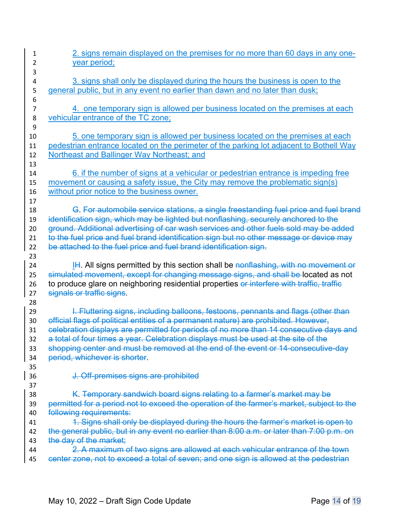| 1        | 2. signs remain displayed on the premises for no more than 60 days in any one-            |
|----------|-------------------------------------------------------------------------------------------|
| 2        | year period;                                                                              |
| 3        |                                                                                           |
| 4        | 3. signs shall only be displayed during the hours the business is open to the             |
| 5        | general public, but in any event no earlier than dawn and no later than dusk;             |
| 6        |                                                                                           |
| 7        | 4. one temporary sign is allowed per business located on the premises at each             |
| 8<br>9   | vehicular entrance of the TC zone;                                                        |
| 10       | 5. one temporary sign is allowed per business located on the premises at each             |
| 11       | pedestrian entrance located on the perimeter of the parking lot adjacent to Bothell Way   |
| 12       | Northeast and Ballinger Way Northeast; and                                                |
| 13       |                                                                                           |
| 14       | 6. If the number of signs at a vehicular or pedestrian entrance is impeding free          |
| 15       | movement or causing a safety issue, the City may remove the problematic sign(s)           |
| 16       | without prior notice to the business owner.                                               |
| 17       |                                                                                           |
| 18       | G. For automobile service stations, a single freestanding fuel price and fuel brand       |
| 19       | identification sign, which may be lighted but nonflashing, securely anchored to the       |
| 20       | ground. Additional advertising of car wash services and other fuels sold may be added     |
| 21       | to the fuel price and fuel brand identification sign but no other message or device may   |
| 22       | be attached to the fuel price and fuel brand identification sign.                         |
| 23       |                                                                                           |
| 24       | $H$ . All signs permitted by this section shall be nonflashing, with no movement or       |
| 25       | simulated movement, except for changing message signs, and shall be located as not        |
| 26       | to produce glare on neighboring residential properties or interfere with traffic, traffic |
| 27       | signals or traffic signs.                                                                 |
| 28<br>29 | I. Fluttering signs, including balloons, festoons, pennants and flags (other than         |
| 30       | official flags of political entities of a permanent nature) are prohibited. However,      |
| 31       | celebration displays are permitted for periods of no more than 14 consecutive days and    |
| 32       | a total of four times a year. Celebration displays must be used at the site of the        |
| 33       | shopping center and must be removed at the end of the event or 14-consecutive-day         |
| 34       | period, whichever is shorter.                                                             |
| 35       |                                                                                           |
| 36       | J. Off-premises signs are prohibited                                                      |
| 37       |                                                                                           |
| 38       | K. Temporary sandwich board signs relating to a farmer's market may be                    |
| 39       | permitted for a period not to exceed the operation of the farmer's market, subject to the |
| 40       | following requirements:                                                                   |
| 41       | 1. Signs shall only be displayed during the hours the farmer's market is open to          |
| 42       | the general public, but in any event no earlier than 8:00 a.m. or later than 7:00 p.m. on |
| 43       | the day of the market;                                                                    |
| 44       | 2. A maximum of two signs are allowed at each vehicular entrance of the town              |
| 45       | center zone, not to exceed a total of seven; and one sign is allowed at the pedestrian    |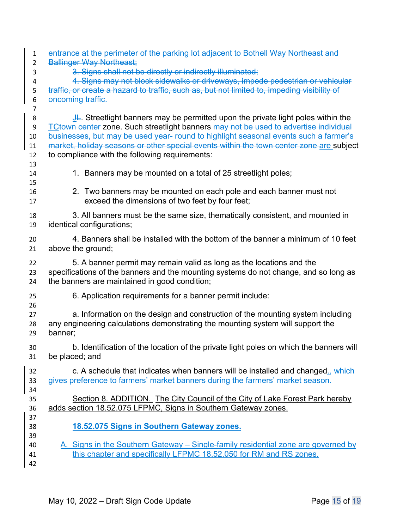| $\mathbf{1}$<br>$\overline{2}$<br>3           | entrance at the perimeter of the parking lot adjacent to Bothell Way Northeast and<br><b>Ballinger Way Northeast;</b><br>3. Signs shall not be directly or indirectly illuminated;                                                                                                                                                                                                                                         |
|-----------------------------------------------|----------------------------------------------------------------------------------------------------------------------------------------------------------------------------------------------------------------------------------------------------------------------------------------------------------------------------------------------------------------------------------------------------------------------------|
| 4<br>5<br>6<br>$\overline{7}$                 | 4. Signs may not block sidewalks or driveways, impede pedestrian or vehicular<br>traffic, or create a hazard to traffic, such as, but not limited to, impeding visibility of<br>oncoming traffic.                                                                                                                                                                                                                          |
| 8<br>$\boldsymbol{9}$<br>10<br>11<br>12<br>13 | $J_{\text{E}}$ . Streetlight banners may be permitted upon the private light poles within the<br>TCtown center zone. Such streetlight banners may not be used to advertise individual<br>businesses, but may be used year- round to highlight seasonal events such a farmer's<br>market, holiday seasons or other special events within the town center zone are subject<br>to compliance with the following requirements: |
| 14<br>15                                      | 1. Banners may be mounted on a total of 25 streetlight poles;                                                                                                                                                                                                                                                                                                                                                              |
| 16<br>17                                      | 2. Two banners may be mounted on each pole and each banner must not<br>exceed the dimensions of two feet by four feet;                                                                                                                                                                                                                                                                                                     |
| 18<br>19                                      | 3. All banners must be the same size, thematically consistent, and mounted in<br>identical configurations;                                                                                                                                                                                                                                                                                                                 |
| 20<br>21                                      | 4. Banners shall be installed with the bottom of the banner a minimum of 10 feet<br>above the ground;                                                                                                                                                                                                                                                                                                                      |
| 22<br>23<br>24                                | 5. A banner permit may remain valid as long as the locations and the<br>specifications of the banners and the mounting systems do not change, and so long as<br>the banners are maintained in good condition;                                                                                                                                                                                                              |
| 25<br>26                                      | 6. Application requirements for a banner permit include:                                                                                                                                                                                                                                                                                                                                                                   |
| 27<br>28<br>29                                | a. Information on the design and construction of the mounting system including<br>any engineering calculations demonstrating the mounting system will support the<br>banner;                                                                                                                                                                                                                                               |
| 30<br>31                                      | b. Identification of the location of the private light poles on which the banners will<br>be placed; and                                                                                                                                                                                                                                                                                                                   |
| 32<br>33<br>34                                | c. A schedule that indicates when banners will be installed and changed., which<br>gives preference to farmers' market banners during the farmers' market season.                                                                                                                                                                                                                                                          |
| 35<br>36<br>37                                | Section 8. ADDITION. The City Council of the City of Lake Forest Park hereby<br>adds section 18.52.075 LFPMC, Signs in Southern Gateway zones.                                                                                                                                                                                                                                                                             |
| 38<br>39                                      | 18.52.075 Signs in Southern Gateway zones.                                                                                                                                                                                                                                                                                                                                                                                 |
| 40<br>41<br>42                                | A. Signs in the Southern Gateway – Single-family residential zone are governed by<br>this chapter and specifically LFPMC 18.52.050 for RM and RS zones.                                                                                                                                                                                                                                                                    |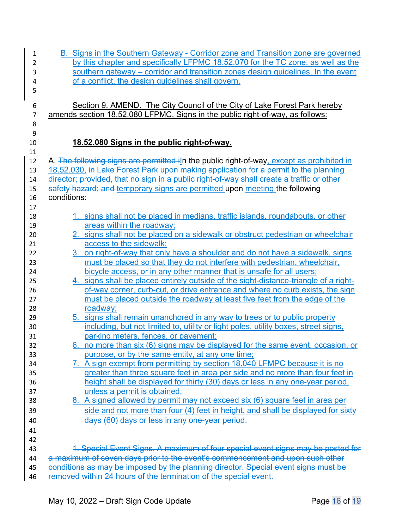| 1        | B. Signs in the Southern Gateway - Corridor zone and Transition zone are governed                                                                                   |
|----------|---------------------------------------------------------------------------------------------------------------------------------------------------------------------|
| 2        | by this chapter and specifically LFPMC 18.52.070 for the TC zone, as well as the                                                                                    |
| 3        | southern gateway – corridor and transition zones design guidelines. In the event                                                                                    |
| 4        | of a conflict, the design guidelines shall govern.                                                                                                                  |
| 5        |                                                                                                                                                                     |
| 6        | Section 9. AMEND. The City Council of the City of Lake Forest Park hereby                                                                                           |
| 7        | amends section 18.52.080 LFPMC, Signs in the public right-of-way, as follows:                                                                                       |
| 8        |                                                                                                                                                                     |
| 9        |                                                                                                                                                                     |
| 10       | 18.52.080 Signs in the public right-of-way.                                                                                                                         |
| 11       |                                                                                                                                                                     |
| 12       | A. The following signs are permitted iln the public right-of-way, except as prohibited in                                                                           |
| 13       | 18.52.030, in Lake Forest Park upon making application for a permit to the planning                                                                                 |
| 14       | director; provided, that no sign in a public right-of-way shall create a traffic or other                                                                           |
| 15       | safety hazard; and temporary signs are permitted upon meeting the following                                                                                         |
| 16       | conditions:                                                                                                                                                         |
| 17       |                                                                                                                                                                     |
| 18       | 1. signs shall not be placed in medians, traffic islands, roundabouts, or other                                                                                     |
| 19       | areas within the roadway;                                                                                                                                           |
| 20<br>21 | 2. signs shall not be placed on a sidewalk or obstruct pedestrian or wheelchair<br>access to the sidewalk;                                                          |
| 22       | 3. on right-of-way that only have a shoulder and do not have a sidewalk, signs                                                                                      |
| 23       | must be placed so that they do not interfere with pedestrian, wheelchair,                                                                                           |
| 24       | bicycle access, or in any other manner that is unsafe for all users;                                                                                                |
| 25       | 4. signs shall be placed entirely outside of the sight-distance-triangle of a right-                                                                                |
| 26       | of-way corner, curb-cut, or drive entrance and where no curb exists, the sign                                                                                       |
| 27       | must be placed outside the roadway at least five feet from the edge of the                                                                                          |
| 28       | roadway;                                                                                                                                                            |
| 29       | 5. signs shall remain unanchored in any way to trees or to public property                                                                                          |
| 30       | including, but not limited to, utility or light poles, utility boxes, street signs,                                                                                 |
| 31       | parking meters, fences, or pavement;                                                                                                                                |
| 32       | 6. no more than six (6) signs may be displayed for the same event, occasion, or                                                                                     |
| 33       | purpose, or by the same entity, at any one time;                                                                                                                    |
| 34       | 7. A sign exempt from permitting by section 18.040 LFMPC because it is no                                                                                           |
| 35       | greater than three square feet in area per side and no more than four feet in                                                                                       |
| 36       | height shall be displayed for thirty (30) days or less in any one-year period.                                                                                      |
| 37       | unless a permit is obtained.                                                                                                                                        |
| 38       | 8. A signed allowed by permit may not exceed six (6) square feet in area per                                                                                        |
| 39       | side and not more than four (4) feet in height, and shall be displayed for sixty                                                                                    |
| 40       | days (60) days or less in any one-year period.                                                                                                                      |
| 41       |                                                                                                                                                                     |
| 42       |                                                                                                                                                                     |
| 43       | 1. Special Event Signs. A maximum of four special event signs may be posted for                                                                                     |
| 44       | a maximum of seven days prior to the event's commencement and upon such other<br>conditions as may be imposed by the planning director. Special event signs must be |
| 45       | removed within 24 hours of the termination of the special event.                                                                                                    |
| 46       |                                                                                                                                                                     |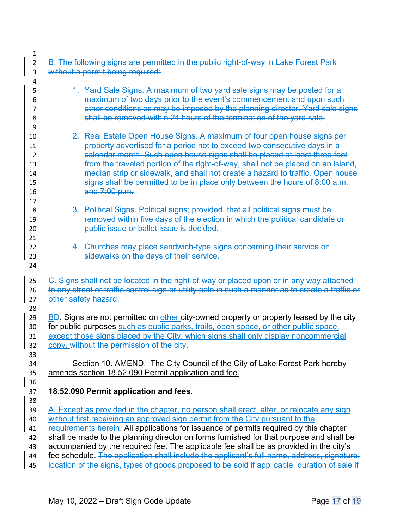| 1                                            |                                                                                                                                                                                                                                                                                                                                                                                                                                                                                                                                                                                                                                                        |
|----------------------------------------------|--------------------------------------------------------------------------------------------------------------------------------------------------------------------------------------------------------------------------------------------------------------------------------------------------------------------------------------------------------------------------------------------------------------------------------------------------------------------------------------------------------------------------------------------------------------------------------------------------------------------------------------------------------|
| 2<br>3                                       | B. The following signs are permitted in the public right-of-way in Lake Forest Park<br>without a permit being required:                                                                                                                                                                                                                                                                                                                                                                                                                                                                                                                                |
| 4                                            |                                                                                                                                                                                                                                                                                                                                                                                                                                                                                                                                                                                                                                                        |
| 5<br>6<br>7<br>8<br>9                        | 1. Yard Sale Signs. A maximum of two yard sale signs may be posted for a<br>maximum of two days prior to the event's commencement and upon such<br>other conditions as may be imposed by the planning director. Yard sale signs<br>shall be removed within 24 hours of the termination of the yard sale.                                                                                                                                                                                                                                                                                                                                               |
| 10<br>11<br>12<br>13<br>14<br>15<br>16<br>17 | 2. Real Estate Open House Signs. A maximum of four open house signs per<br>property advertised for a period not to exceed two consecutive days in a<br>calendar month. Such open house signs shall be placed at least three feet<br>from the traveled portion of the right-of-way, shall not be placed on an island,<br>median strip or sidewalk, and shall not create a hazard to traffic. Open house<br>signs shall be permitted to be in place only between the hours of 8:00 a.m.<br>and $7:00$ p.m.                                                                                                                                               |
| 18<br>19<br>20<br>21                         | 3. Political Signs. Political signs; provided, that all political signs must be<br>removed within five days of the election in which the political candidate or<br>public issue or ballot issue is decided.                                                                                                                                                                                                                                                                                                                                                                                                                                            |
| 22<br>23<br>24                               | 4. Churches may place sandwich-type signs concerning their service on<br>sidewalks on the days of their service.                                                                                                                                                                                                                                                                                                                                                                                                                                                                                                                                       |
| 25<br>26<br>27<br>28                         | C. Signs shall not be located in the right-of-way or placed upon or in any way attached<br>to any street or traffic control sign or utility pole in such a manner as to create a traffic or<br>other safety hazard.                                                                                                                                                                                                                                                                                                                                                                                                                                    |
| 29<br>30<br>31<br>32<br>33                   | <b>BD.</b> Signs are not permitted on other city-owned property or property leased by the city<br>for public purposes such as public parks, trails, open space, or other public space,<br>except those signs placed by the City, which signs shall only display noncommercial<br>copy. without the permission of the city.                                                                                                                                                                                                                                                                                                                             |
| 34<br>35<br>36                               | Section 10. AMEND. The City Council of the City of Lake Forest Park hereby<br>amends section 18.52.090 Permit application and fee.                                                                                                                                                                                                                                                                                                                                                                                                                                                                                                                     |
| 37<br>38                                     | 18.52.090 Permit application and fees.                                                                                                                                                                                                                                                                                                                                                                                                                                                                                                                                                                                                                 |
| 39<br>40<br>41<br>42<br>43<br>44<br>45       | A. Except as provided in the chapter, no person shall erect, alter, or relocate any sign<br>without first receiving an approved sign permit from the City pursuant to the<br>requirements herein. All applications for issuance of permits required by this chapter<br>shall be made to the planning director on forms furnished for that purpose and shall be<br>accompanied by the required fee. The applicable fee shall be as provided in the city's<br>fee schedule. The application shall include the applicant's full name, address, signature,<br>location of the signs, types of goods proposed to be sold if applicable, duration of sale if |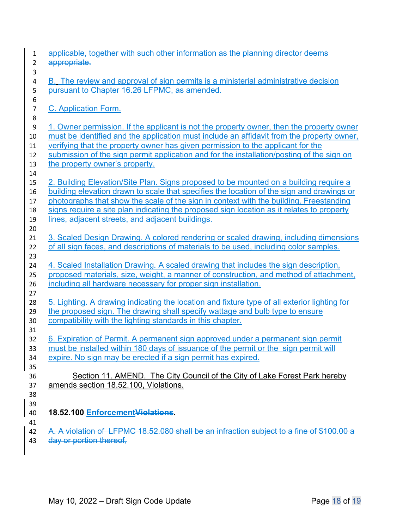| $\mathbf{1}$            | applicable, together with such other information as the planning director deems                                                                                              |
|-------------------------|------------------------------------------------------------------------------------------------------------------------------------------------------------------------------|
| $\overline{2}$          | appropriate.                                                                                                                                                                 |
| 3                       |                                                                                                                                                                              |
| $\overline{\mathbf{4}}$ | B. The review and approval of sign permits is a ministerial administrative decision                                                                                          |
| 5                       | pursuant to Chapter 16.26 LFPMC, as amended.                                                                                                                                 |
| 6                       |                                                                                                                                                                              |
| $\overline{7}$          | C. Application Form.                                                                                                                                                         |
| $\,8\,$                 |                                                                                                                                                                              |
| $\boldsymbol{9}$        | 1. Owner permission. If the applicant is not the property owner, then the property owner                                                                                     |
| $10\,$                  | must be identified and the application must include an affidavit from the property owner.                                                                                    |
| 11                      | verifying that the property owner has given permission to the applicant for the                                                                                              |
| 12                      | submission of the sign permit application and for the installation/posting of the sign on                                                                                    |
| 13                      | the property owner's property.                                                                                                                                               |
| 14<br>15                | 2. Building Elevation/Site Plan. Signs proposed to be mounted on a building require a                                                                                        |
| 16                      | building elevation drawn to scale that specifies the location of the sign and drawings or                                                                                    |
| 17                      | photographs that show the scale of the sign in context with the building. Freestanding                                                                                       |
| 18                      | signs require a site plan indicating the proposed sign location as it relates to property                                                                                    |
| 19                      | lines, adjacent streets, and adjacent buildings.                                                                                                                             |
| 20                      |                                                                                                                                                                              |
| 21                      | 3. Scaled Design Drawing. A colored rendering or scaled drawing, including dimensions                                                                                        |
| 22                      | of all sign faces, and descriptions of materials to be used, including color samples.                                                                                        |
| 23                      |                                                                                                                                                                              |
| 24                      | 4. Scaled Installation Drawing. A scaled drawing that includes the sign description,                                                                                         |
| 25                      | proposed materials, size, weight, a manner of construction, and method of attachment,                                                                                        |
| 26                      | including all hardware necessary for proper sign installation.                                                                                                               |
| 27                      |                                                                                                                                                                              |
| 28<br>29                | 5. Lighting. A drawing indicating the location and fixture type of all exterior lighting for<br>the proposed sign. The drawing shall specify wattage and bulb type to ensure |
| 30                      | compatibility with the lighting standards in this chapter.                                                                                                                   |
| 31                      |                                                                                                                                                                              |
| 32                      | 6. Expiration of Permit. A permanent sign approved under a permanent sign permit                                                                                             |
| 33                      | must be installed within 180 days of issuance of the permit or the sign permit will                                                                                          |
| 34                      | expire. No sign may be erected if a sign permit has expired.                                                                                                                 |
| 35                      |                                                                                                                                                                              |
| 36                      | Section 11. AMEND. The City Council of the City of Lake Forest Park hereby                                                                                                   |
| 37                      | amends section 18.52.100, Violations.                                                                                                                                        |
| 38                      |                                                                                                                                                                              |
| 39                      |                                                                                                                                                                              |
| 40                      | 18.52.100 EnforcementViolations.                                                                                                                                             |
| 41                      |                                                                                                                                                                              |
| 42                      | A. A violation of LFPMC 18.52.080 shall be an infraction subject to a fine of \$100.00 a                                                                                     |
| 43                      | day or portion thereof,                                                                                                                                                      |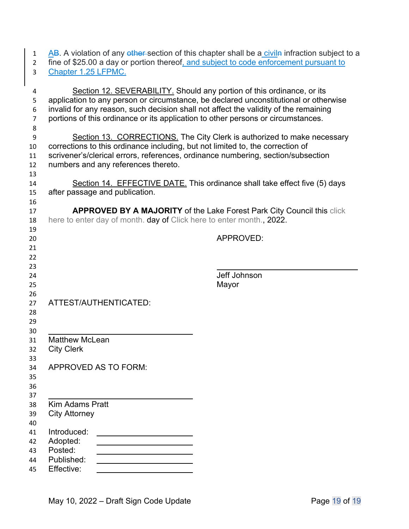2 fine of \$25.00 a day or portion thereof, and subject to code enforcement pursuant to<br>3 Chapter 1.25 LFPMC. Chapter 1.25 LFPMC.

| 4              |                                                                                      | Section 12. SEVERABILITY. Should any portion of this ordinance, or its        |  |  |  |  |  |  |
|----------------|--------------------------------------------------------------------------------------|-------------------------------------------------------------------------------|--|--|--|--|--|--|
| 5              | application to any person or circumstance, be declared unconstitutional or otherwise |                                                                               |  |  |  |  |  |  |
| 6              | invalid for any reason, such decision shall not affect the validity of the remaining |                                                                               |  |  |  |  |  |  |
| $\overline{7}$ | portions of this ordinance or its application to other persons or circumstances.     |                                                                               |  |  |  |  |  |  |
| 8              |                                                                                      |                                                                               |  |  |  |  |  |  |
| 9              |                                                                                      | Section 13. CORRECTIONS. The City Clerk is authorized to make necessary       |  |  |  |  |  |  |
| 10             | corrections to this ordinance including, but not limited to, the correction of       |                                                                               |  |  |  |  |  |  |
| 11             | scrivener's/clerical errors, references, ordinance numbering, section/subsection     |                                                                               |  |  |  |  |  |  |
| 12             | numbers and any references thereto.                                                  |                                                                               |  |  |  |  |  |  |
| 13             |                                                                                      |                                                                               |  |  |  |  |  |  |
| 14             | Section 14. EFFECTIVE DATE. This ordinance shall take effect five (5) days           |                                                                               |  |  |  |  |  |  |
| 15             | after passage and publication.                                                       |                                                                               |  |  |  |  |  |  |
| 16             |                                                                                      |                                                                               |  |  |  |  |  |  |
| 17             |                                                                                      | <b>APPROVED BY A MAJORITY of the Lake Forest Park City Council this click</b> |  |  |  |  |  |  |
| 18             | here to enter day of month. day of Click here to enter month., 2022.                 |                                                                               |  |  |  |  |  |  |
| 19             |                                                                                      |                                                                               |  |  |  |  |  |  |
| 20             |                                                                                      | APPROVED:                                                                     |  |  |  |  |  |  |
| 21             |                                                                                      |                                                                               |  |  |  |  |  |  |
| 22             |                                                                                      |                                                                               |  |  |  |  |  |  |
| 23             |                                                                                      |                                                                               |  |  |  |  |  |  |
| 24             |                                                                                      | Jeff Johnson                                                                  |  |  |  |  |  |  |
| 25             |                                                                                      | Mayor                                                                         |  |  |  |  |  |  |
| 26             |                                                                                      |                                                                               |  |  |  |  |  |  |
| 27             | ATTEST/AUTHENTICATED:                                                                |                                                                               |  |  |  |  |  |  |
| 28             |                                                                                      |                                                                               |  |  |  |  |  |  |
| 29             |                                                                                      |                                                                               |  |  |  |  |  |  |
| 30<br>31       | <b>Matthew McLean</b>                                                                |                                                                               |  |  |  |  |  |  |
| 32             | <b>City Clerk</b>                                                                    |                                                                               |  |  |  |  |  |  |
| 33             |                                                                                      |                                                                               |  |  |  |  |  |  |
| 34             | APPROVED AS TO FORM:                                                                 |                                                                               |  |  |  |  |  |  |
| 35             |                                                                                      |                                                                               |  |  |  |  |  |  |
| 36             |                                                                                      |                                                                               |  |  |  |  |  |  |
| 37             |                                                                                      |                                                                               |  |  |  |  |  |  |
| 38             | <b>Kim Adams Pratt</b>                                                               |                                                                               |  |  |  |  |  |  |
| 39             | <b>City Attorney</b>                                                                 |                                                                               |  |  |  |  |  |  |
| 40             |                                                                                      |                                                                               |  |  |  |  |  |  |
| 41             | Introduced:                                                                          |                                                                               |  |  |  |  |  |  |
| 42             | Adopted:                                                                             |                                                                               |  |  |  |  |  |  |
| 43             | Posted:                                                                              |                                                                               |  |  |  |  |  |  |
| 44             | Published:                                                                           |                                                                               |  |  |  |  |  |  |
| 45             | Effective:                                                                           |                                                                               |  |  |  |  |  |  |
|                |                                                                                      |                                                                               |  |  |  |  |  |  |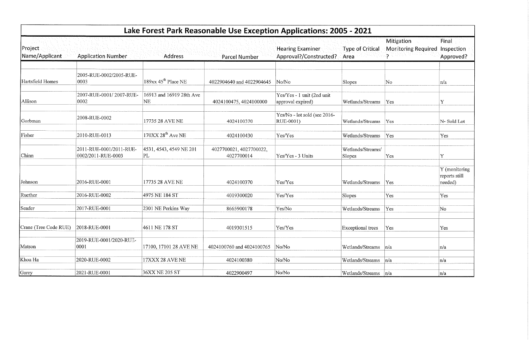| Lake Forest Park Reasonable Use Exception Applications: 2005 - 2021 |                                               |                                         |                                       |                                                   |                             |                                          |                                           |  |  |  |
|---------------------------------------------------------------------|-----------------------------------------------|-----------------------------------------|---------------------------------------|---------------------------------------------------|-----------------------------|------------------------------------------|-------------------------------------------|--|--|--|
| Project<br>Name/Applicant                                           | <b>Application Number</b>                     | Address                                 | <b>Parcel Number</b>                  | <b>Hearing Examiner</b><br>Approval?/Constructed? | Type of Critical<br>Area    | Mitigation<br><b>Monitoring Required</b> | Final<br>Inspection<br>Approved?          |  |  |  |
| Hartsfield Homes                                                    | 2005-RUE-0002/2005-RUE-<br>0003               | $189xx\,45$ <sup>th</sup> Place NE      | 4022904640 and 4022904645             | No/No                                             | Slopes                      | No                                       | n/a                                       |  |  |  |
| Allison                                                             | 2007-RUE-0001/2007-RUE-<br>0002               | 16913 and 16919 28th Ave<br>NE          | 4024100475, 4024100000                | Yes/Yes - 1 unit (2nd unit<br>approval expired)   | Wetlands/Streams            | Yes.                                     |                                           |  |  |  |
| Gorbman                                                             | 2008-RUE-0002                                 | 17735 28 AVE NE                         | 4024100370                            | Yes/No - lot sold (see 2016-<br>RUE-0001)         | Wetlands/Streams            | Yes                                      | N-Sold Lot                                |  |  |  |
| Fisher                                                              | 2010-RUE-0013                                 | $170XX$ $28^{th}$ Ave NE                | 4024100430                            | Yes/Yes                                           | Wetlands/Streams            | Yes                                      | Yes                                       |  |  |  |
| Chinn                                                               | 2011-RUE-0001/2011-RUE-<br>0002/2011-RUE-0003 | 4531, 4543, 4549 NE 201<br>$ {\rm PL} $ | 4027700021, 4027700022,<br>4027700014 | Yes/Yes - 3 Units                                 | Wetlands/Streams/<br>Slopes | Yes                                      | Y                                         |  |  |  |
| Johnson                                                             | 2016-RUE-0001                                 | 17735 28 AVE NE                         | 4024100370                            | Yes/Yes                                           | Wetlands/Streams            | Yes                                      | Y (monitoring<br>reports still<br>needed) |  |  |  |
| Ruether                                                             | 2016-RUE-0002                                 | 4975 NE 184 ST                          | 4019300020                            | Yes/Yes                                           | Slopes                      | Yes                                      | Yes                                       |  |  |  |
| Seader                                                              | 2017-RUE-0001                                 | 2301 NE Perkins Way                     | 8665900178                            | Yes/No                                            | Wetlands/Streams            | Yes                                      | $\overline{\text{No}}$                    |  |  |  |
| Crane (Tree Code RUE)                                               | 2018-RUE-0001                                 | 4611 NE 178 ST                          | 4019301515                            | Yes/Yes                                           | Exceptional trees           | Yes                                      | Yes                                       |  |  |  |
| Matson                                                              | 2019-RUE-0001/2020-RUE-<br>0001               | 17100, 17101 28 AVE NE                  | 4024100760 and 4024100765             | No/No                                             | Wetlands/Streams            | n/a                                      | n/a                                       |  |  |  |
| Khoa Ha                                                             | 2020-RUE-0002                                 | 17XXX 28 AVE NE                         | 4024100380                            | No/No                                             | Wetlands/Streams            | n/a                                      | n/a                                       |  |  |  |
| Garey                                                               | 2021-RUE-0001                                 | 36XX NE 205 ST                          | 4022900497                            | No/No                                             | Wetlands/Streams            | n/a                                      | n/a                                       |  |  |  |